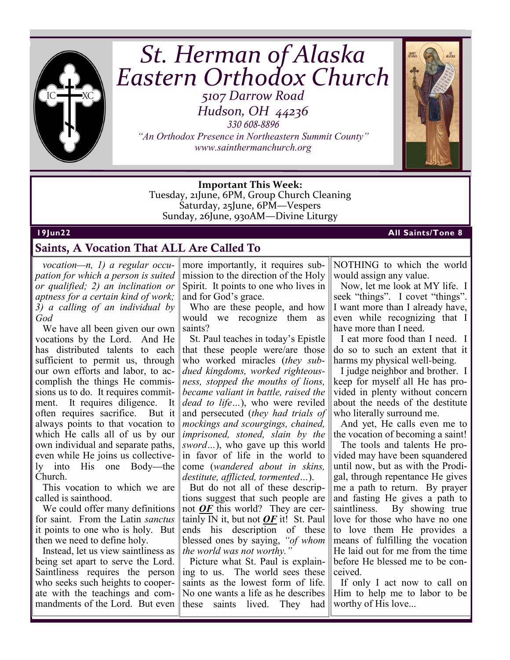

# *St. Herman of Alaska Eastern Orthodox Church 5107 Darrow Road*

*Hudson, OH 44236* 

*330 608-8896 "An Orthodox Presence in Northeastern Summit County" www.sainthermanchurch.org*



**Important This Week:**  Tuesday, 21June, 6PM, Group Church Cleaning Saturday, 25June, 6PM—Vespers Sunday, 26June, 930AM—Divine Liturgy

## **19Jun22 All Saints/Tone 8**

## **Saints, A Vocation That ALL Are Called To**

*vocation—n, 1) a regular occupation for which a person is suited or qualified; 2) an inclination or aptness for a certain kind of work; 3) a calling of an individual by God*

We have all been given our own vocations by the Lord. And He has distributed talents to each sufficient to permit us, through our own efforts and labor, to accomplish the things He commissions us to do. It requires commitment. It requires diligence. It often requires sacrifice. But it always points to that vocation to which He calls all of us by our own individual and separate paths, even while He joins us collectively into His one Body—the Church.

This vocation to which we are called is sainthood.

We could offer many definitions for saint. From the Latin *sanctus* it points to one who is holy. But then we need to define holy.

Instead, let us view saintliness as being set apart to serve the Lord. Saintliness requires the person who seeks such heights to cooperate with the teachings and commandments of the Lord. But even

more importantly, it requires submission to the direction of the Holy Spirit. It points to one who lives in and for God's grace.

Who are these people, and how would we recognize them as saints?

St. Paul teaches in today's Epistle that these people were/are those who worked miracles (*they subdued kingdoms, worked righteousness, stopped the mouths of lions, became valiant in battle, raised the dead to life…*), who were reviled and persecuted (*they had trials of mockings and scourgings, chained, imprisoned, stoned, slain by the sword…*), who gave up this world in favor of life in the world to come (*wandered about in skins, destitute, afflicted, tormented…*).

But do not all of these descriptions suggest that such people are not *OF* this world? They are certainly IN it, but not *OF* it! St. Paul ends his description of these blessed ones by saying, *"of whom the world was not worthy."*

Picture what St. Paul is explaining to us. The world sees these saints as the lowest form of life. No one wants a life as he describes these saints lived. They had NOTHING to which the world would assign any value.

Now, let me look at MY life. I seek "things". I covet "things". I want more than I already have, even while recognizing that I have more than I need.

I eat more food than I need. I do so to such an extent that it harms my physical well-being.

I judge neighbor and brother. I keep for myself all He has provided in plenty without concern about the needs of the destitute who literally surround me.

And yet, He calls even me to the vocation of becoming a saint!

The tools and talents He provided may have been squandered until now, but as with the Prodigal, through repentance He gives me a path to return. By prayer and fasting He gives a path to saintliness. By showing true love for those who have no one to love them He provides a means of fulfilling the vocation He laid out for me from the time before He blessed me to be conceived.

If only I act now to call on Him to help me to labor to be worthy of His love...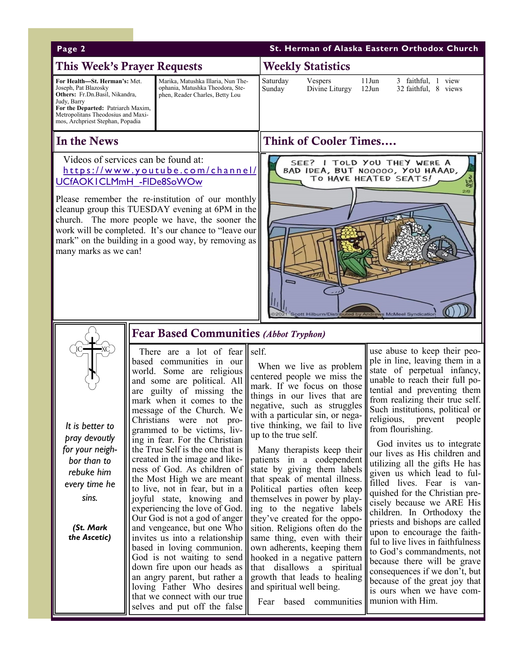| Page 2                                                                                                                                                                                                                 |                                                                                                                                                                                                                                                                                                                                                                                                                                                                                                                                                                                                                                                                                                                                                                                                                                                                                      | St. Herman of Alaska Eastern Orthodox Church                                                                                                                                                                                                                                                                                                                                                                                                                                                                                                                                                                                                                                                                                                                    |                                                                                                                                                                                                                                                                                                                                                                                                                                                                                                                                                                                                                                                                                                                                                                                                                                                 |  |  |  |
|------------------------------------------------------------------------------------------------------------------------------------------------------------------------------------------------------------------------|--------------------------------------------------------------------------------------------------------------------------------------------------------------------------------------------------------------------------------------------------------------------------------------------------------------------------------------------------------------------------------------------------------------------------------------------------------------------------------------------------------------------------------------------------------------------------------------------------------------------------------------------------------------------------------------------------------------------------------------------------------------------------------------------------------------------------------------------------------------------------------------|-----------------------------------------------------------------------------------------------------------------------------------------------------------------------------------------------------------------------------------------------------------------------------------------------------------------------------------------------------------------------------------------------------------------------------------------------------------------------------------------------------------------------------------------------------------------------------------------------------------------------------------------------------------------------------------------------------------------------------------------------------------------|-------------------------------------------------------------------------------------------------------------------------------------------------------------------------------------------------------------------------------------------------------------------------------------------------------------------------------------------------------------------------------------------------------------------------------------------------------------------------------------------------------------------------------------------------------------------------------------------------------------------------------------------------------------------------------------------------------------------------------------------------------------------------------------------------------------------------------------------------|--|--|--|
| <b>This Week's Prayer Requests</b>                                                                                                                                                                                     |                                                                                                                                                                                                                                                                                                                                                                                                                                                                                                                                                                                                                                                                                                                                                                                                                                                                                      | <b>Weekly Statistics</b>                                                                                                                                                                                                                                                                                                                                                                                                                                                                                                                                                                                                                                                                                                                                        |                                                                                                                                                                                                                                                                                                                                                                                                                                                                                                                                                                                                                                                                                                                                                                                                                                                 |  |  |  |
| For Health-St. Herman's: Met.<br>Joseph, Pat Blazosky<br>Others: Fr.Dn.Basil, Nikandra,<br>Judy, Barry<br>For the Departed: Patriarch Maxim,<br>Metropolitans Theodosius and Maxi-<br>mos, Archpriest Stephan, Popadia | Marika, Matushka Illaria, Nun The-<br>ophania, Matushka Theodora, Ste-<br>phen, Reader Charles, Betty Lou                                                                                                                                                                                                                                                                                                                                                                                                                                                                                                                                                                                                                                                                                                                                                                            | Saturday<br>Vespers<br>Divine Liturgy<br>Sunday                                                                                                                                                                                                                                                                                                                                                                                                                                                                                                                                                                                                                                                                                                                 | 11Jun<br>3 faithful, 1 view<br>$12$ Jun<br>32 faithful, 8 views                                                                                                                                                                                                                                                                                                                                                                                                                                                                                                                                                                                                                                                                                                                                                                                 |  |  |  |
| In the News                                                                                                                                                                                                            |                                                                                                                                                                                                                                                                                                                                                                                                                                                                                                                                                                                                                                                                                                                                                                                                                                                                                      | <b>Think of Cooler Times</b>                                                                                                                                                                                                                                                                                                                                                                                                                                                                                                                                                                                                                                                                                                                                    |                                                                                                                                                                                                                                                                                                                                                                                                                                                                                                                                                                                                                                                                                                                                                                                                                                                 |  |  |  |
| Videos of services can be found at:<br>UCfAOKICLMmH - FIDe8SoWOw<br>many marks as we can!                                                                                                                              | https://www.youtube.com/channel/<br>Please remember the re-institution of our monthly<br>cleanup group this TUESDAY evening at 6PM in the<br>church. The more people we have, the sooner the<br>work will be completed. It's our chance to "leave our<br>mark" on the building in a good way, by removing as                                                                                                                                                                                                                                                                                                                                                                                                                                                                                                                                                                         | SEE? I TOLD YOU THEY WERE A<br>BAD IDEA, BUT N00000, YOU HAAAD,<br>TO HAVE HEATED SEATS!<br>2/8<br>Scott Hilburn/Distributed by Andrews McMeel Syndication                                                                                                                                                                                                                                                                                                                                                                                                                                                                                                                                                                                                      |                                                                                                                                                                                                                                                                                                                                                                                                                                                                                                                                                                                                                                                                                                                                                                                                                                                 |  |  |  |
|                                                                                                                                                                                                                        | <b>Fear Based Communities (Abbot Tryphon)</b>                                                                                                                                                                                                                                                                                                                                                                                                                                                                                                                                                                                                                                                                                                                                                                                                                                        |                                                                                                                                                                                                                                                                                                                                                                                                                                                                                                                                                                                                                                                                                                                                                                 |                                                                                                                                                                                                                                                                                                                                                                                                                                                                                                                                                                                                                                                                                                                                                                                                                                                 |  |  |  |
| It is better to<br>pray devoutly<br>for your neigh-<br>bor than to<br>rebuke him<br>every time he<br>sins.<br>(St. Mark<br>the Ascetic)                                                                                | There are a lot of fear $\ \text{self.}\ $<br>based communities in our<br>world. Some are religious<br>and some are political. All<br>are guilty of missing the<br>mark when it comes to the<br>message of the Church. We<br>Christians were not pro-<br>grammed to be victims, liv-<br>ing in fear. For the Christian<br>the True Self is the one that is<br>created in the image and like-<br>ness of God. As children of<br>the Most High we are meant<br>to live, not in fear, but in a<br>joyful state, knowing and<br>experiencing the love of God.<br>Our God is not a god of anger<br>and vengeance, but one Who<br>invites us into a relationship<br>based in loving communion.<br>God is not waiting to send<br>down fire upon our heads as<br>an angry parent, but rather a<br>loving Father Who desires<br>that we connect with our true<br>selves and put off the false | When we live as problem<br>centered people we miss the<br>mark. If we focus on those<br>things in our lives that are<br>negative, such as struggles<br>with a particular sin, or nega-<br>tive thinking, we fail to live<br>up to the true self.<br>Many therapists keep their<br>patients in a codependent<br>state by giving them labels<br>that speak of mental illness.<br>Political parties often keep<br>themselves in power by play-<br>ing to the negative labels<br>they've created for the oppo-<br>sition. Religions often do the<br>same thing, even with their<br>own adherents, keeping them<br>hooked in a negative pattern<br>that disallows a spiritual<br>growth that leads to healing<br>and spiritual well being.<br>Fear based communities | use abuse to keep their peo-<br>ple in line, leaving them in a<br>state of perpetual infancy,<br>unable to reach their full po-<br>tential and preventing them<br>from realizing their true self.<br>Such institutions, political or<br>religious,<br>prevent<br>people<br>from flourishing.<br>God invites us to integrate<br>our lives as His children and<br>utilizing all the gifts He has<br>given us which lead to ful-<br>filled lives. Fear is van-<br>quished for the Christian pre-<br>cisely because we ARE His<br>children. In Orthodoxy the<br>priests and bishops are called<br>upon to encourage the faith-<br>ful to live lives in faithfulness<br>to God's commandments, not<br>because there will be grave<br>consequences if we don't, but<br>because of the great joy that<br>is ours when we have com-<br>munion with Him. |  |  |  |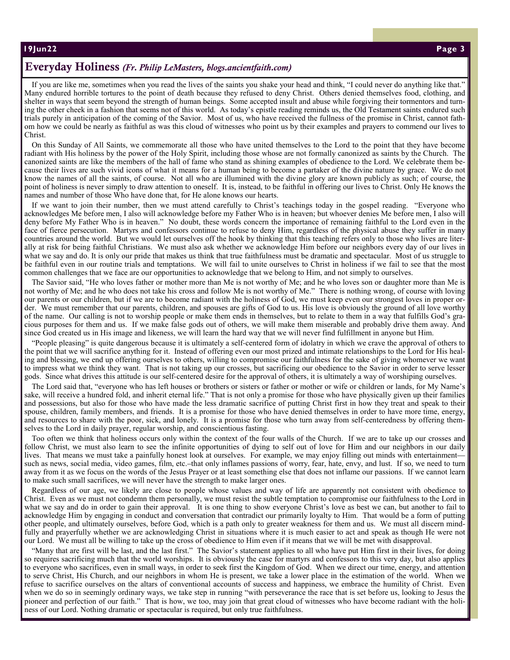**19Jun22 "Faith of o ur Fathers", Insta llme nt #2 Page 3** 

## **Everyday Holiness** *(Fr. Philip LeMasters, blogs.ancientfaith.com)*

If you are like me, sometimes when you read the lives of the saints you shake your head and think, "I could never do anything like that." Many endured horrible tortures to the point of death because they refused to deny Christ. Others denied themselves food, clothing, and shelter in ways that seem beyond the strength of human beings. Some accepted insult and abuse while forgiving their tormentors and turning the other cheek in a fashion that seems not of this world. As today's epistle reading reminds us, the Old Testament saints endured such trials purely in anticipation of the coming of the Savior. Most of us, who have received the fullness of the promise in Christ, cannot fathom how we could be nearly as faithful as was this cloud of witnesses who point us by their examples and prayers to commend our lives to Christ.

On this Sunday of All Saints, we commemorate all those who have united themselves to the Lord to the point that they have become radiant with His holiness by the power of the Holy Spirit, including those whose are not formally canonized as saints by the Church. The canonized saints are like the members of the hall of fame who stand as shining examples of obedience to the Lord. We celebrate them because their lives are such vivid icons of what it means for a human being to become a partaker of the divine nature by grace. We do not know the names of all the saints, of course. Not all who are illumined with the divine glory are known publicly as such; of course, the point of holiness is never simply to draw attention to oneself. It is, instead, to be faithful in offering our lives to Christ. Only He knows the names and number of those Who have done that, for He alone knows our hearts.

If we want to join their number, then we must attend carefully to Christ's teachings today in the gospel reading. "Everyone who acknowledges Me before men, I also will acknowledge before my Father Who is in heaven; but whoever denies Me before men, I also will deny before My Father Who is in heaven." No doubt, these words concern the importance of remaining faithful to the Lord even in the face of fierce persecution. Martyrs and confessors continue to refuse to deny Him, regardless of the physical abuse they suffer in many countries around the world. But we would let ourselves off the hook by thinking that this teaching refers only to those who lives are literally at risk for being faithful Christians. We must also ask whether we acknowledge Him before our neighbors every day of our lives in what we say and do. It is only our pride that makes us think that true faithfulness must be dramatic and spectacular. Most of us struggle to be faithful even in our routine trials and temptations. We will fail to unite ourselves to Christ in holiness if we fail to see that the most common challenges that we face are our opportunities to acknowledge that we belong to Him, and not simply to ourselves.

The Savior said, "He who loves father or mother more than Me is not worthy of Me; and he who loves son or daughter more than Me is not worthy of Me; and he who does not take his cross and follow Me is not worthy of Me." There is nothing wrong, of course with loving our parents or our children, but if we are to become radiant with the holiness of God, we must keep even our strongest loves in proper order. We must remember that our parents, children, and spouses are gifts of God to us. His love is obviously the ground of all love worthy of the name. Our calling is not to worship people or make them ends in themselves, but to relate to them in a way that fulfills God's gracious purposes for them and us. If we make false gods out of others, we will make them miserable and probably drive them away. And since God created us in His image and likeness, we will learn the hard way that we will never find fulfillment in anyone but Him.

"People pleasing" is quite dangerous because it is ultimately a self-centered form of idolatry in which we crave the approval of others to the point that we will sacrifice anything for it. Instead of offering even our most prized and intimate relationships to the Lord for His healing and blessing, we end up offering ourselves to others, willing to compromise our faithfulness for the sake of giving whomever we want to impress what we think they want. That is not taking up our crosses, but sacrificing our obedience to the Savior in order to serve lesser gods. Since what drives this attitude is our self-centered desire for the approval of others, it is ultimately a way of worshiping ourselves.

The Lord said that, "everyone who has left houses or brothers or sisters or father or mother or wife or children or lands, for My Name's sake, will receive a hundred fold, and inherit eternal life." That is not only a promise for those who have physically given up their families and possessions, but also for those who have made the less dramatic sacrifice of putting Christ first in how they treat and speak to their spouse, children, family members, and friends. It is a promise for those who have denied themselves in order to have more time, energy, and resources to share with the poor, sick, and lonely. It is a promise for those who turn away from self-centeredness by offering themselves to the Lord in daily prayer, regular worship, and conscientious fasting.

Too often we think that holiness occurs only within the context of the four walls of the Church. If we are to take up our crosses and follow Christ, we must also learn to see the infinite opportunities of dying to self out of love for Him and our neighbors in our daily lives. That means we must take a painfully honest look at ourselves. For example, we may enjoy filling out minds with entertainment such as news, social media, video games, film, etc.–that only inflames passions of worry, fear, hate, envy, and lust. If so, we need to turn away from it as we focus on the words of the Jesus Prayer or at least something else that does not inflame our passions. If we cannot learn to make such small sacrifices, we will never have the strength to make larger ones.

Regardless of our age, we likely are close to people whose values and way of life are apparently not consistent with obedience to Christ. Even as we must not condemn them personally, we must resist the subtle temptation to compromise our faithfulness to the Lord in what we say and do in order to gain their approval. It is one thing to show everyone Christ's love as best we can, but another to fail to acknowledge Him by engaging in conduct and conversation that contradict our primarily loyalty to Him. That would be a form of putting other people, and ultimately ourselves, before God, which is a path only to greater weakness for them and us. We must all discern mindfully and prayerfully whether we are acknowledging Christ in situations where it is much easier to act and speak as though He were not our Lord. We must all be willing to take up the cross of obedience to Him even if it means that we will be met with disapproval.

"Many that are first will be last, and the last first." The Savior's statement applies to all who have put Him first in their lives, for doing so requires sacrificing much that the world worships. It is obviously the case for martyrs and confessors to this very day, but also applies to everyone who sacrifices, even in small ways, in order to seek first the Kingdom of God. When we direct our time, energy, and attention to serve Christ, His Church, and our neighbors in whom He is present, we take a lower place in the estimation of the world. When we refuse to sacrifice ourselves on the altars of conventional accounts of success and happiness, we embrace the humility of Christ. Even when we do so in seemingly ordinary ways, we take step in running "with perseverance the race that is set before us, looking to Jesus the pioneer and perfection of our faith." That is how, we too, may join that great cloud of witnesses who have become radiant with the holiness of our Lord. Nothing dramatic or spectacular is required, but only true faithfulness.